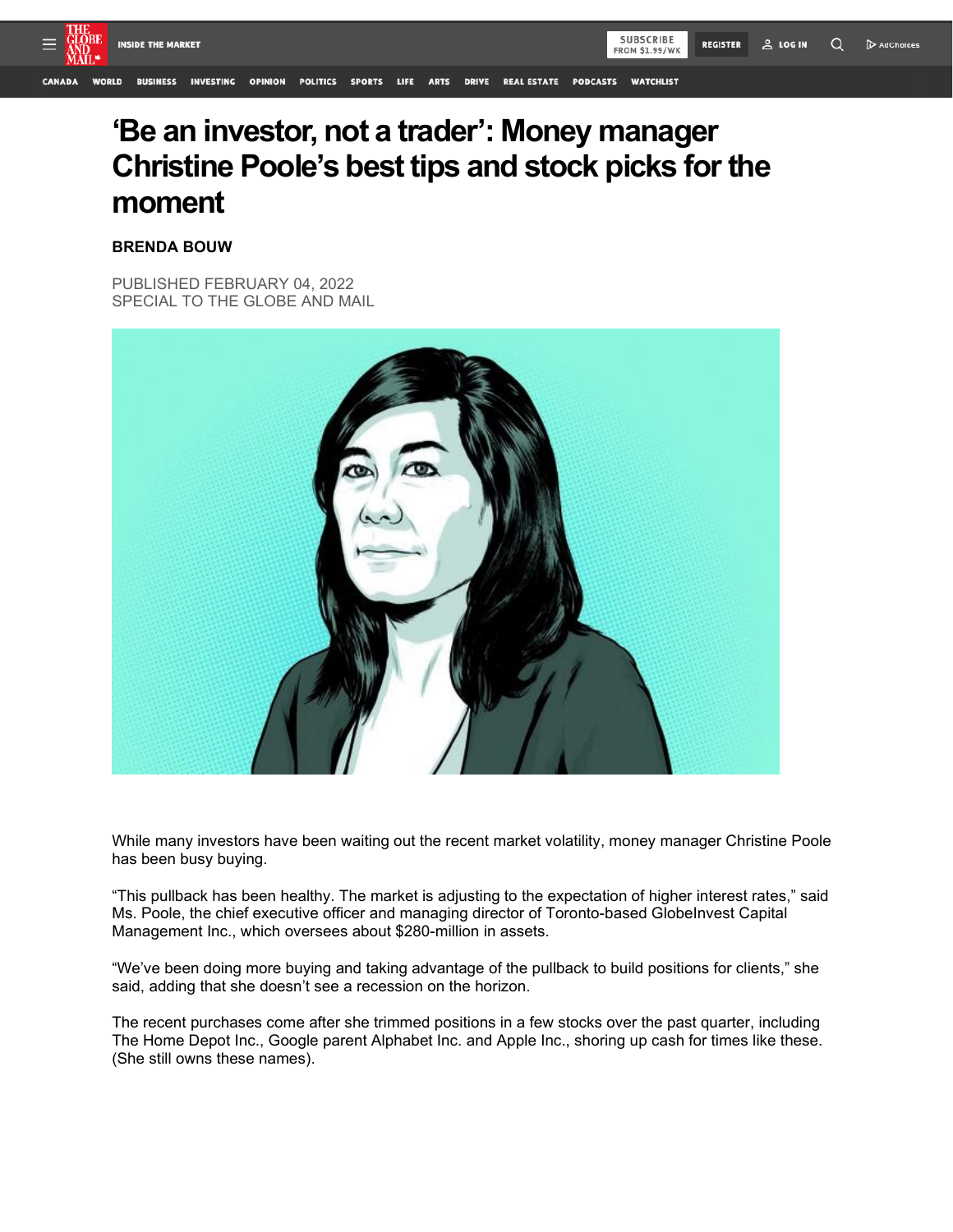# **'Be an investor, not a trader': Money manager Christine Poole's best tips and stock picks for the moment**

## **BRENDA BOUW**

PUBLISHED FEBRUARY 04, 2022 SPECIAL TO THE GLOBE AND MAIL



While many investors have been waiting out the recent market volatility, money manager Christine Poole has been busy buying.

"This pullback has been healthy. The market is adjusting to the expectation of higher interest rates," said Ms. Poole, the chief executive officer and managing director of Toronto-based GlobeInvest Capital Management Inc., which oversees about \$280-million in assets.

"We've been doing more buying and taking advantage of the pullback to build positions for clients," she said, adding that she doesn't see a recession on the horizon.

The recent purchases come after she trimmed positions in a few stocks over the past quarter, including The Home Depot Inc., Google parent Alphabet Inc. and Apple Inc., shoring up cash for times like these. (She still owns these names).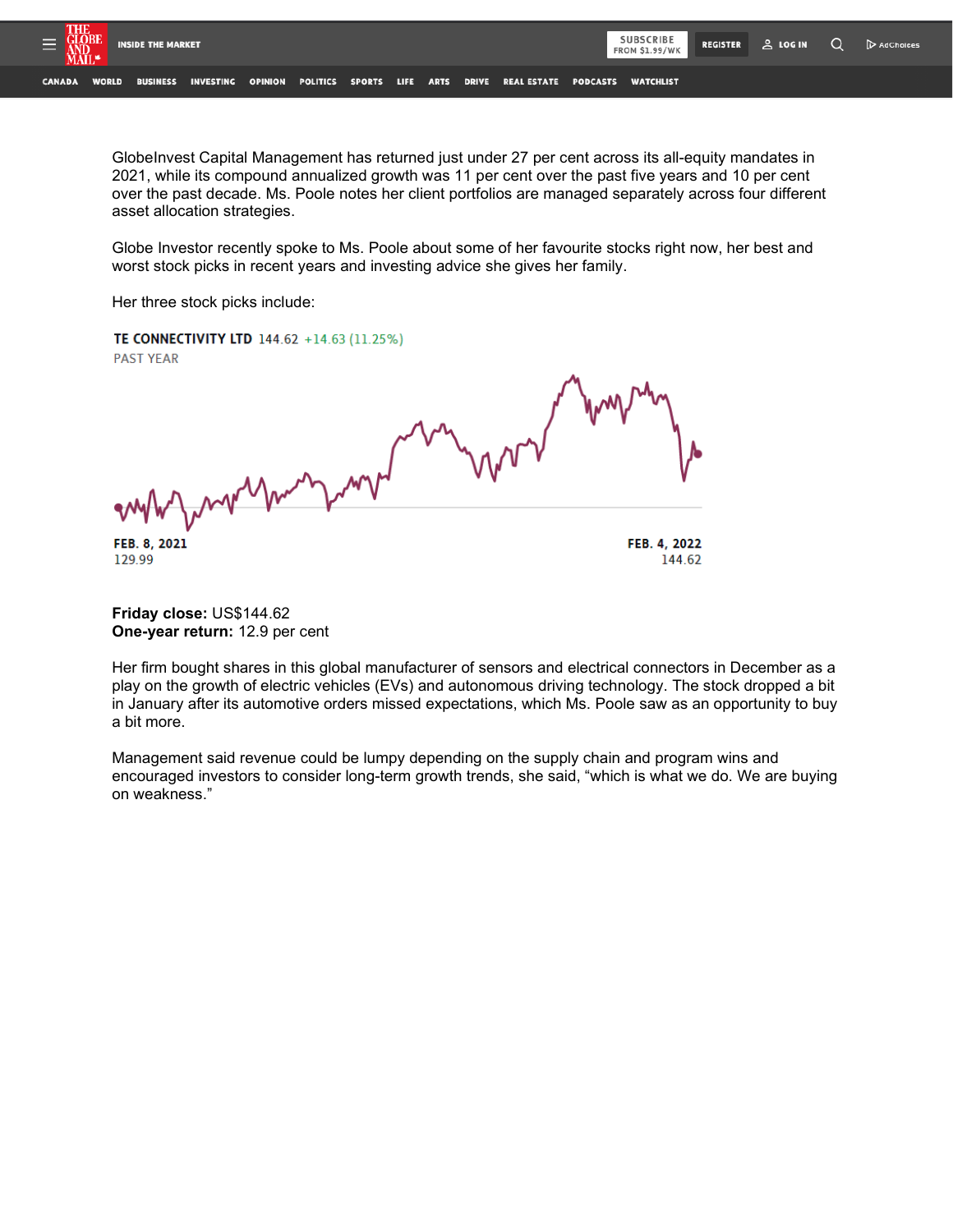

**BUSINESS INVESTING OPINION POLITICS SPORTS** LIFE **ARTS DRIVE** REAL ESTATE PODCASTS **WATCHLIST WORLD** 

GlobeInvest Capital Management has returned just under 27 per cent across its all-equity mandates in 2021, while its compound annualized growth was 11 per cent over the past five years and 10 per cent over the past decade. Ms. Poole notes her client portfolios are managed separately across four different asset allocation strategies.

Globe Investor recently spoke to Ms. Poole about some of her favourite stocks right now, her best and worst stock picks in recent years and investing advice she gives her family.

Her three stock picks include:

TE CONNECTIVITY LTD 144.62 +14.63 (11.25%) **PAST YEAR** FEB. 4, 2022 FEB. 8. 2021

129.99

144.62

**Friday close:** US\$144.62 **One-year return:** 12.9 per cent

Her firm bought shares in this global manufacturer of sensors and electrical connectors in December as a play on the growth of electric vehicles (EVs) and autonomous driving technology. The stock dropped a bit in January after its automotive orders missed expectations, which Ms. Poole saw as an opportunity to buy a bit more.

Management said revenue could be lumpy depending on the supply chain and program wins and encouraged investors to consider long-term growth trends, she said, "which is what we do. We are buying on weakness."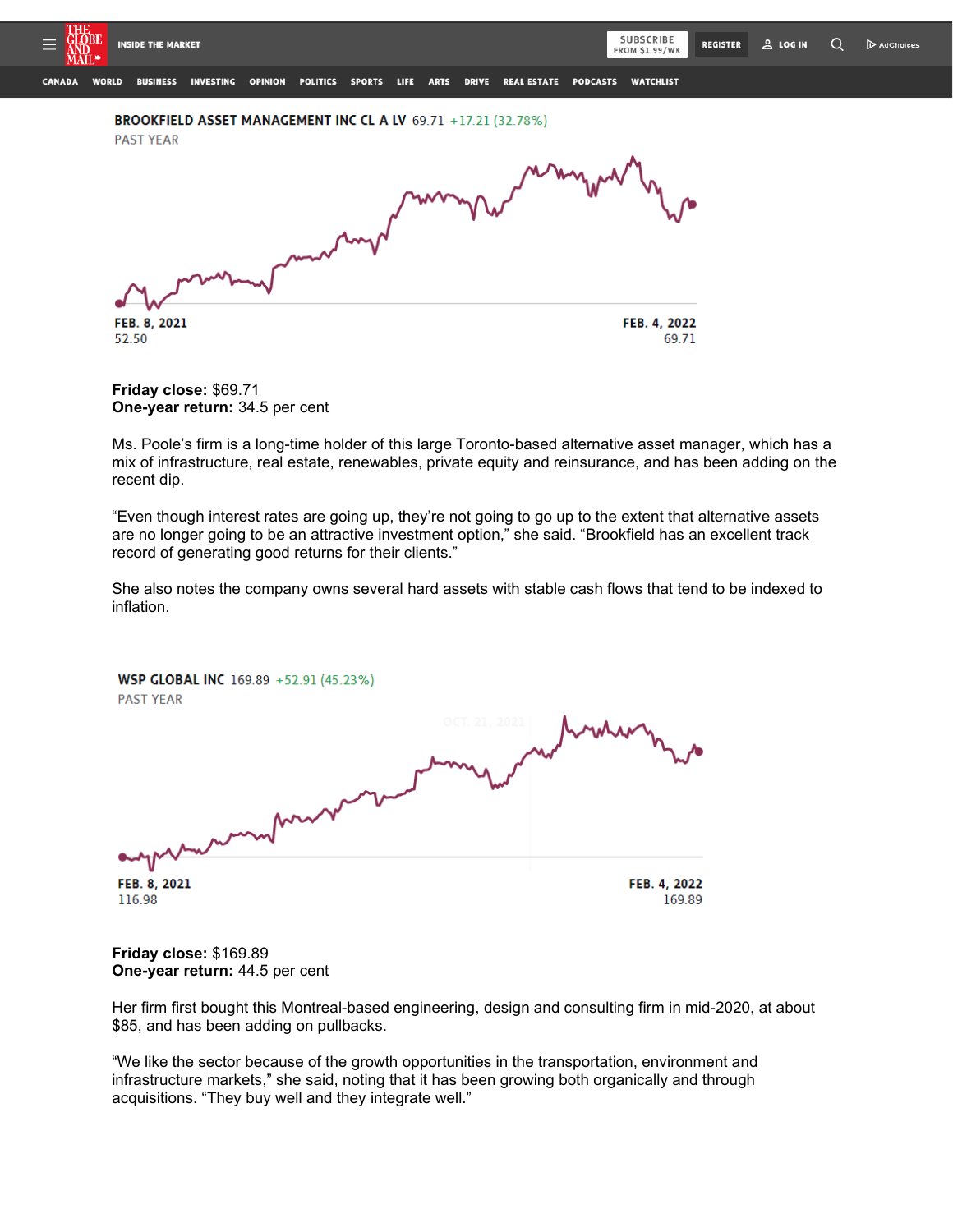| THE<br><b>MAIL*</b>           | <b>INSIDE THE MARKET</b>                                                          |                  |                |                 |               |      |             |              |                    |                 | SUBSCRIBE<br><b>FROM \$1.99/WK</b> | <b>REGISTER</b> | <u>&amp;</u> LOG IN | Q | AdChoices |
|-------------------------------|-----------------------------------------------------------------------------------|------------------|----------------|-----------------|---------------|------|-------------|--------------|--------------------|-----------------|------------------------------------|-----------------|---------------------|---|-----------|
| <b>WORLD</b><br><b>CANADA</b> | <b>BUSINESS</b>                                                                   | <b>INVESTING</b> | <b>OPINION</b> | <b>POLITICS</b> | <b>SPORTS</b> | LIFE | <b>ARTS</b> | <b>DRIVE</b> | <b>REAL ESTATE</b> | <b>PODCASTS</b> | <b>WATCHLIST</b>                   |                 |                     |   |           |
|                               | BROOKFIELD ASSET MANAGEMENT INC CL A LV 69.71 +17.21 (32.78%)<br><b>PAST YEAR</b> |                  |                |                 |               |      |             |              |                    |                 |                                    |                 |                     |   |           |
|                               |                                                                                   |                  |                |                 |               |      |             |              |                    |                 |                                    |                 |                     |   |           |
|                               |                                                                                   |                  |                |                 |               |      |             |              |                    |                 |                                    |                 |                     |   |           |
|                               |                                                                                   |                  |                | M               |               |      |             |              |                    |                 |                                    |                 |                     |   |           |
|                               |                                                                                   |                  |                |                 |               |      |             |              |                    |                 |                                    |                 |                     |   |           |
|                               | FEB. 8, 2021                                                                      |                  |                |                 |               |      |             |              |                    |                 | FEB. 4, 2022                       |                 |                     |   |           |

**Friday close:** \$69.71 **One-year return:** 34.5 per cent

52.50

Ms. Poole's firm is a long-time holder of this large Toronto-based alternative asset manager, which has a mix of infrastructure, real estate, renewables, private equity and reinsurance, and has been adding on the recent dip.

69.71

"Even though interest rates are going up, they're not going to go up to the extent that alternative assets are no longer going to be an attractive investment option," she said. "Brookfield has an excellent track record of generating good returns for their clients."

She also notes the company owns several hard assets with stable cash flows that tend to be indexed to inflation.

WSP GLOBAL INC 169.89 +52.91 (45.23%) **PAST YEAR** FEB. 8, 2021 FEB. 4, 2022 116.98 169.89

**Friday close:** \$169.89 **One-year return:** 44.5 per cent

Her firm first bought this Montreal-based engineering, design and consulting firm in mid-2020, at about \$85, and has been adding on pullbacks.

"We like the sector because of the growth opportunities in the transportation, environment and infrastructure markets," she said, noting that it has been growing both organically and through acquisitions. "They buy well and they integrate well."